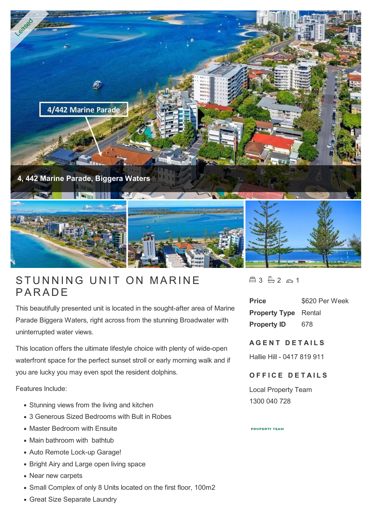

## STUNNING<br>PARADE

This beautifully presented unit is located in the sought-after area of Marine Parade Biggera Waters, right across from the stunning Broadwater with uninterrupted water views.

This location offers the ultimate lifestyle choice with plenty of wide-open waterfront space for the perfect sunset stroll or early morning walk and if you are lucky you may even spot the resident dolphins.

Features Include:

- Stunning views from the living and kitchen
- 3 Generous Sized Bedrooms with Bult in Robes
- Master Bedroom with Ensuite
- Main bathroom with bathtub
- Auto Remote Lock-up Garage!
- Bright Airy and Large open living space
- Near new carpets
- Small Complex of only 8 Units located on the first floor, 100m2
- Great Size Separate Laundry

 $43 - 2 - 1$ 

**Price** \$620 Per Week **Property Type** Rental **Property ID** 678

## **AGENT DETAILS**

Hallie Hill - 0417 819 911

## **OFFICE DETAILS**

Local Property Team 1300 040 728

**PROPERTY TEAM**